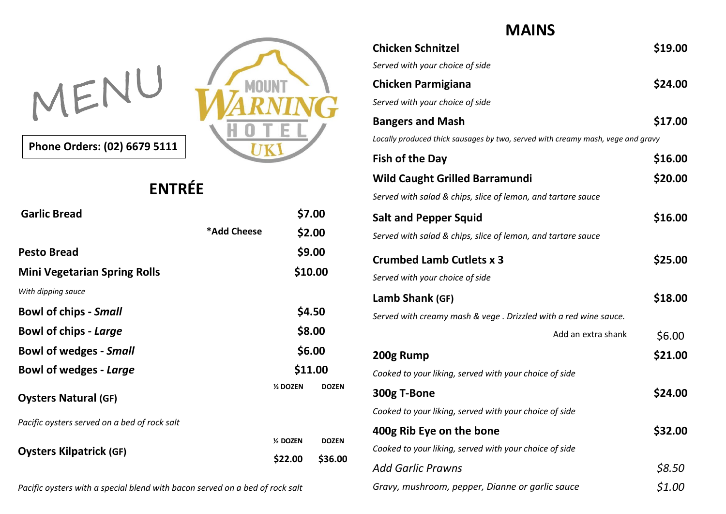

**Phone Orders: (02) 6679 5111**

## **ENTRÉE**

| <b>Garlic Bread</b>                          |             |           | \$7.00       |
|----------------------------------------------|-------------|-----------|--------------|
|                                              | *Add Cheese |           | \$2.00       |
| <b>Pesto Bread</b>                           |             |           | \$9.00       |
| <b>Mini Vegetarian Spring Rolls</b>          |             | \$10.00   |              |
| With dipping sauce                           |             |           |              |
| <b>Bowl of chips - Small</b>                 |             | \$4.50    |              |
| <b>Bowl of chips - Large</b>                 |             | \$8.00    |              |
| <b>Bowl of wedges - Small</b>                |             | \$6.00    |              |
| Bowl of wedges - Large                       |             | \$11.00   |              |
| <b>Oysters Natural (GF)</b>                  |             | % DOZEN   | <b>DOZEN</b> |
| Pacific oysters served on a bed of rock salt |             |           |              |
|                                              |             | 1/2 DOZEN | <b>DOZEN</b> |
| <b>Oysters Kilpatrick (GF)</b>               |             | \$22.00   | \$36.00      |
|                                              |             |           |              |

*Pacific oysters with a special blend with bacon served on a bed of rock salt*

## **MAINS**

| <b>Chicken Schnitzel</b>                                                        | \$19.00 |
|---------------------------------------------------------------------------------|---------|
| Served with your choice of side                                                 |         |
| <b>Chicken Parmigiana</b>                                                       | \$24.00 |
| Served with your choice of side                                                 |         |
| <b>Bangers and Mash</b>                                                         | \$17.00 |
| Locally produced thick sausages by two, served with creamy mash, vege and gravy |         |
| <b>Fish of the Day</b>                                                          | \$16.00 |
| <b>Wild Caught Grilled Barramundi</b>                                           | \$20.00 |
| Served with salad & chips, slice of lemon, and tartare sauce                    |         |
| <b>Salt and Pepper Squid</b>                                                    | \$16.00 |
| Served with salad & chips, slice of lemon, and tartare sauce                    |         |
| <b>Crumbed Lamb Cutlets x 3</b>                                                 | \$25.00 |
| Served with your choice of side                                                 |         |
| Lamb Shank (GF)                                                                 | \$18.00 |
| Served with creamy mash & vege . Drizzled with a red wine sauce.                |         |
| Add an extra shank                                                              | \$6.00  |
| 200g Rump                                                                       | \$21.00 |
| Cooked to your liking, served with your choice of side                          |         |
| 300g T-Bone                                                                     | \$24.00 |
| Cooked to your liking, served with your choice of side                          |         |
| 400g Rib Eye on the bone                                                        | \$32.00 |
| Cooked to your liking, served with your choice of side                          |         |
| <b>Add Garlic Prawns</b>                                                        | \$8.50  |
| Gravy, mushroom, pepper, Dianne or garlic sauce                                 | \$1.00  |